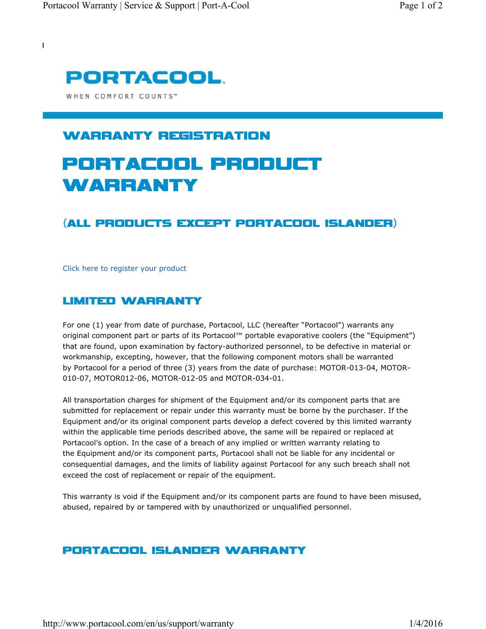

WHEN COMFORT COUNTS"

 $\overline{1}$ 

## WARRANTY REGISTRATION

# PORTACOOL PRODUCT WARRANTY

### (ALL PRODUCTS EXCEPT PORTACOOL ISLANDER)

Click here to register your product

#### LIMITED WARRANTY

For one (1) year from date of purchase, Portacool, LLC (hereafter "Portacool") warrants any original component part or parts of its Portacool™ portable evaporative coolers (the "Equipment") that are found, upon examination by factory-authorized personnel, to be defective in material or workmanship, excepting, however, that the following component motors shall be warranted by Portacool for a period of three (3) years from the date of purchase: MOTOR-013-04, MOTOR-010-07, MOTOR012-06, MOTOR-012-05 and MOTOR-034-01.

All transportation charges for shipment of the Equipment and/or its component parts that are submitted for replacement or repair under this warranty must be borne by the purchaser. If the Equipment and/or its original component parts develop a defect covered by this limited warranty within the applicable time periods described above, the same will be repaired or replaced at Portacool's option. In the case of a breach of any implied or written warranty relating to the Equipment and/or its component parts, Portacool shall not be liable for any incidental or consequential damages, and the limits of liability against Portacool for any such breach shall not exceed the cost of replacement or repair of the equipment.

This warranty is void if the Equipment and/or its component parts are found to have been misused, abused, repaired by or tampered with by unauthorized or unqualified personnel.

#### PORTACOOL ISLANDER WARRANTY